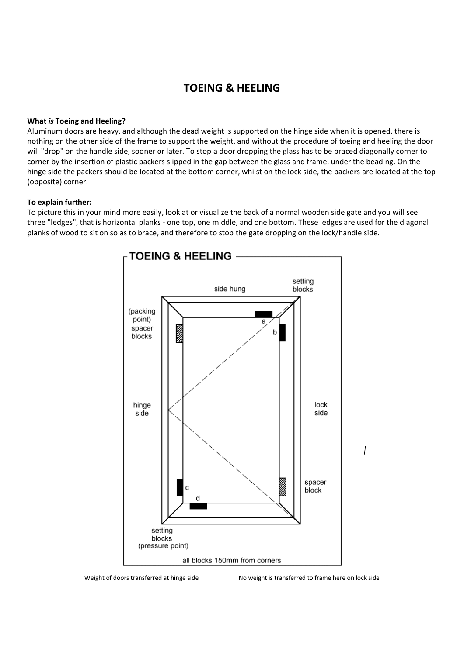# **TOEING & HEELING**

### **What** *is* **Toeing and Heeling?**

Aluminum doors are heavy, and although the dead weight is supported on the hinge side when it is opened, there is nothing on the other side of the frame to support the weight, and without the procedure of toeing and heeling the door will "drop" on the handle side, sooner or later. To stop a door dropping the glass has to be braced diagonally corner to corner by the insertion of plastic packers slipped in the gap between the glass and frame, under the beading. On the hinge side the packers should be located at the bottom corner, whilst on the lock side, the packers are located at the top (opposite) corner.

#### **To explain further:**

To picture this in your mind more easily, look at or visualize the back of a normal wooden side gate and you will see three "ledges", that is horizontal planks - one top, one middle, and one bottom. These ledges are used for the diagonal planks of wood to sit on so as to brace, and therefore to stop the gate dropping on the lock/handle side.



Weight of doors transferred at hinge side No weight is transferred to frame here on lock side